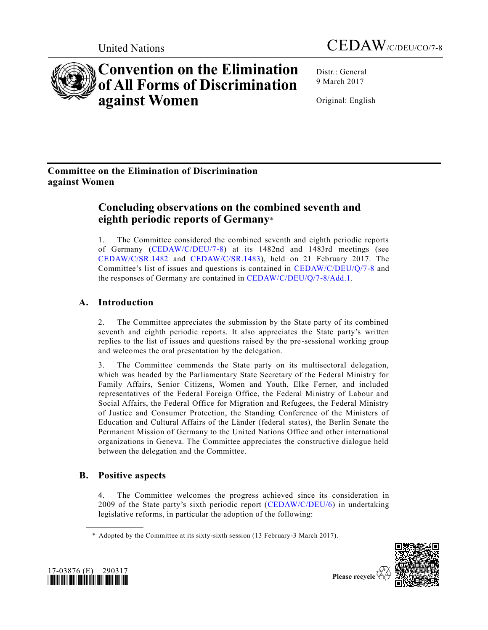



# **Convention on the Elimination of All Forms of Discrimination against Women**

Distr.: General 9 March 2017

Original: English

# **Committee on the Elimination of Discrimination against Women**

# **Concluding observations on the combined seventh and eighth periodic reports of Germany**\*

1. The Committee considered the combined seventh and eighth periodic reports of Germany [\(CEDAW/C/DEU/7-8\)](http://undocs.org/CEDAW/C/DEU/7) at its 1482nd and 1483rd meetings (see [CEDAW/C/SR.1482](http://undocs.org/CEDAW/C/SR.1482) and [CEDAW/C/SR.1483\)](http://undocs.org/CEDAW/C/SR.1483), held on 21 February 2017. The Committee's list of issues and questions is contained in [CEDAW/C/DEU/Q/7-8](http://undocs.org/CEDAW/C/DEU/Q/7) and the responses of Germany are contained in [CEDAW/C/DEU/Q/7-8/Add.1.](http://undocs.org/CEDAW/C/DEU/Q/7-8/Add.1)

# **A. Introduction**

2. The Committee appreciates the submission by the State party of its combined seventh and eighth periodic reports. It also appreciates the State party's written replies to the list of issues and questions raised by the pre-sessional working group and welcomes the oral presentation by the delegation.

3. The Committee commends the State party on its multisectoral delegation, which was headed by the Parliamentary State Secretary of the Federal Ministry for Family Affairs, Senior Citizens, Women and Youth, Elke Ferner, and included representatives of the Federal Foreign Office, the Federal Ministry of Labour and Social Affairs, the Federal Office for Migration and Refugees, the Federal Ministry of Justice and Consumer Protection, the Standing Conference of the Ministers of Education and Cultural Affairs of the Länder (federal states), the Berlin Senate the Permanent Mission of Germany to the United Nations Office and other international organizations in Geneva. The Committee appreciates the constructive dialogue held between the delegation and the Committee.

# **B. Positive aspects**

4. The Committee welcomes the progress achieved since its consideration in 2009 of the State party's sixth periodic report [\(CEDAW/C/DEU/6\)](http://undocs.org/CEDAW/C/DEU/6) in undertaking legislative reforms, in particular the adoption of the following:





<sup>\*</sup> Adopted by the Committee at its sixty-sixth session (13 February-3 March 2017).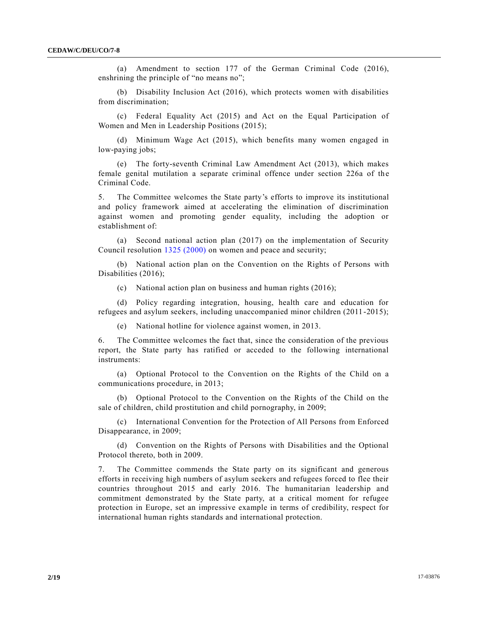(a) Amendment to section 177 of the German Criminal Code (2016), enshrining the principle of "no means no";

(b) Disability Inclusion Act (2016), which protects women with disabilities from discrimination;

(c) Federal Equality Act (2015) and Act on the Equal Participation of Women and Men in Leadership Positions (2015);

(d) Minimum Wage Act (2015), which benefits many women engaged in low-paying jobs;

(e) The forty-seventh Criminal Law Amendment Act (2013), which makes female genital mutilation a separate criminal offence under section 226a of the Criminal Code.

5. The Committee welcomes the State party's efforts to improve its institutional and policy framework aimed at accelerating the elimination of discrimination against women and promoting gender equality, including the adoption or establishment of:

(a) Second national action plan (2017) on the implementation of Security Council resolution [1325 \(2000\)](http://undocs.org/S/RES/1325(2000)) on women and peace and security;

(b) National action plan on the Convention on the Rights of Persons with Disabilities (2016);

(c) National action plan on business and human rights (2016);

(d) Policy regarding integration, housing, health care and education for refugees and asylum seekers, including unaccompanied minor children (2011 -2015);

(e) National hotline for violence against women, in 2013.

6. The Committee welcomes the fact that, since the consideration of the previous report, the State party has ratified or acceded to the following international instruments:

(a) Optional Protocol to the Convention on the Rights of the Child on a communications procedure, in 2013;

(b) Optional Protocol to the Convention on the Rights of the Child on the sale of children, child prostitution and child pornography, in 2009;

(c) International Convention for the Protection of All Persons from Enforced Disappearance, in 2009;

(d) Convention on the Rights of Persons with Disabilities and the Optional Protocol thereto, both in 2009.

7. The Committee commends the State party on its significant and generous efforts in receiving high numbers of asylum seekers and refugees forced to flee their countries throughout 2015 and early 2016. The humanitarian leadership and commitment demonstrated by the State party, at a critical moment for refugee protection in Europe, set an impressive example in terms of credibility, respect for international human rights standards and international protection.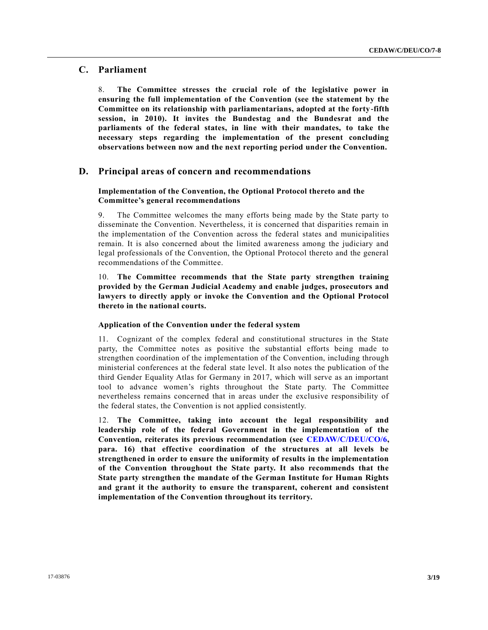# **C. Parliament**

8. **The Committee stresses the crucial role of the legislative power in ensuring the full implementation of the Convention (see the statement by the Committee on its relationship with parliamentarians, adopted at the forty-fifth session, in 2010). It invites the Bundestag and the Bundesrat and the parliaments of the federal states, in line with their mandates, to take the necessary steps regarding the implementation of the present concluding observations between now and the next reporting period under the Convention.**

# **D. Principal areas of concern and recommendations**

# **Implementation of the Convention, the Optional Protocol thereto and the Committee's general recommendations**

9. The Committee welcomes the many efforts being made by the State party to disseminate the Convention. Nevertheless, it is concerned that disparities remain in the implementation of the Convention across the federal states and municipalities remain. It is also concerned about the limited awareness among the judiciary and legal professionals of the Convention, the Optional Protocol thereto and the general recommendations of the Committee.

10. **The Committee recommends that the State party strengthen training provided by the German Judicial Academy and enable judges, prosecutors and lawyers to directly apply or invoke the Convention and the Optional Protocol thereto in the national courts.**

# **Application of the Convention under the federal system**

11. Cognizant of the complex federal and constitutional structures in the State party, the Committee notes as positive the substantial efforts being made to strengthen coordination of the implementation of the Convention, including through ministerial conferences at the federal state level. It also notes the publication of the third Gender Equality Atlas for Germany in 2017, which will serve as an important tool to advance women's rights throughout the State party. The Committee nevertheless remains concerned that in areas under the exclusive responsibility of the federal states, the Convention is not applied consistently.

12. **The Committee, taking into account the legal responsibility and leadership role of the federal Government in the implementation of the Convention, reiterates its previous recommendation (see [CEDAW/C/DEU/CO/6,](http://undocs.org/CEDAW/C/DEU/CO/6) para. 16) that effective coordination of the structures at all levels be strengthened in order to ensure the uniformity of results in the implementation of the Convention throughout the State party. It also recommends that the State party strengthen the mandate of the German Institute for Human Rights and grant it the authority to ensure the transparent, coherent and consistent implementation of the Convention throughout its territory.**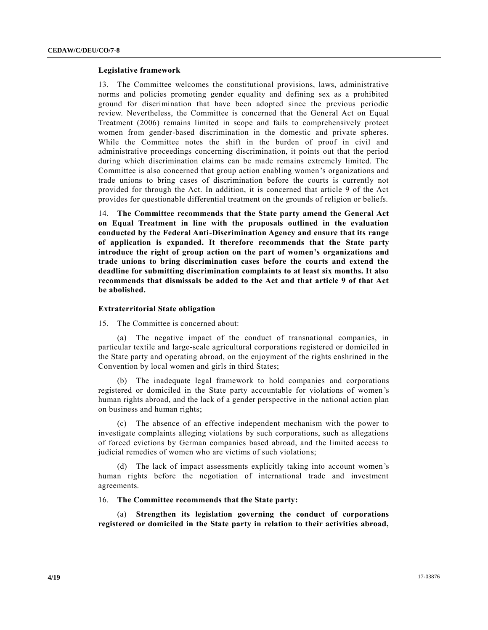#### **Legislative framework**

13. The Committee welcomes the constitutional provisions, laws, administrative norms and policies promoting gender equality and defining sex as a prohibited ground for discrimination that have been adopted since the previous periodic review. Nevertheless, the Committee is concerned that the General Act on Equal Treatment (2006) remains limited in scope and fails to comprehensively protect women from gender-based discrimination in the domestic and private spheres. While the Committee notes the shift in the burden of proof in civil and administrative proceedings concerning discrimination, it points out that the period during which discrimination claims can be made remains extremely limited. The Committee is also concerned that group action enabling women's organizations and trade unions to bring cases of discrimination before the courts is currently not provided for through the Act. In addition, it is concerned that article 9 of the Act provides for questionable differential treatment on the grounds of religion or beliefs.

14. **The Committee recommends that the State party amend the General Act on Equal Treatment in line with the proposals outlined in the evaluation conducted by the Federal Anti-Discrimination Agency and ensure that its range of application is expanded. It therefore recommends that the State party introduce the right of group action on the part of women's organizations and trade unions to bring discrimination cases before the courts and extend the deadline for submitting discrimination complaints to at least six months. It also recommends that dismissals be added to the Act and that article 9 of that Act be abolished.**

#### **Extraterritorial State obligation**

15. The Committee is concerned about:

(a) The negative impact of the conduct of transnational companies, in particular textile and large-scale agricultural corporations registered or domiciled in the State party and operating abroad, on the enjoyment of the rights enshrined in the Convention by local women and girls in third States;

(b) The inadequate legal framework to hold companies and corporations registered or domiciled in the State party accountable for violations of women 's human rights abroad, and the lack of a gender perspective in the national action plan on business and human rights;

(c) The absence of an effective independent mechanism with the power to investigate complaints alleging violations by such corporations, such as allegations of forced evictions by German companies based abroad, and the limited access to judicial remedies of women who are victims of such violations;

(d) The lack of impact assessments explicitly taking into account women's human rights before the negotiation of international trade and investment agreements.

16. **The Committee recommends that the State party:**

(a) **Strengthen its legislation governing the conduct of corporations registered or domiciled in the State party in relation to their activities abroad,**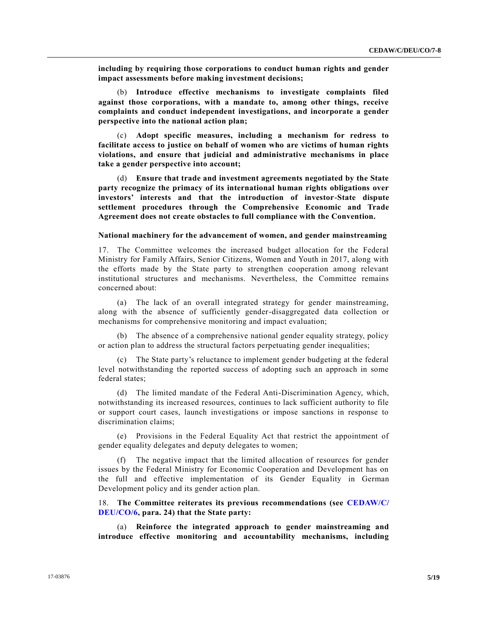**including by requiring those corporations to conduct human rights and gender impact assessments before making investment decisions;**

(b) **Introduce effective mechanisms to investigate complaints filed against those corporations, with a mandate to, among other things, receive complaints and conduct independent investigations, and incorporate a gender perspective into the national action plan;**

(c) **Adopt specific measures, including a mechanism for redress to facilitate access to justice on behalf of women who are victims of human rights violations, and ensure that judicial and administrative mechanisms in place take a gender perspective into account;**

(d) **Ensure that trade and investment agreements negotiated by the State party recognize the primacy of its international human rights obligations over investors' interests and that the introduction of investor-State dispute settlement procedures through the Comprehensive Economic and Trade Agreement does not create obstacles to full compliance with the Convention.**

# **National machinery for the advancement of women, and gender mainstreaming**

17. The Committee welcomes the increased budget allocation for the Federal Ministry for Family Affairs, Senior Citizens, Women and Youth in 2017, along with the efforts made by the State party to strengthen cooperation among relevant institutional structures and mechanisms. Nevertheless, the Committee remains concerned about:

(a) The lack of an overall integrated strategy for gender mainstreaming, along with the absence of sufficiently gender-disaggregated data collection or mechanisms for comprehensive monitoring and impact evaluation;

(b) The absence of a comprehensive national gender equality strategy, policy or action plan to address the structural factors perpetuating gender inequalities;

(c) The State party's reluctance to implement gender budgeting at the federal level notwithstanding the reported success of adopting such an approach in some federal states;

(d) The limited mandate of the Federal Anti-Discrimination Agency, which, notwithstanding its increased resources, continues to lack sufficient authority to file or support court cases, launch investigations or impose sanctions in response to discrimination claims;

(e) Provisions in the Federal Equality Act that restrict the appointment of gender equality delegates and deputy delegates to women;

The negative impact that the limited allocation of resources for gender issues by the Federal Ministry for Economic Cooperation and Development has on the full and effective implementation of its Gender Equality in German Development policy and its gender action plan.

18. **The Committee reiterates its previous recommendations (see [CEDAW/C/](http://undocs.org/CEDAW/C/DEU/CO/6) [DEU/CO/6,](http://undocs.org/CEDAW/C/DEU/CO/6) para. 24) that the State party:** 

(a) **Reinforce the integrated approach to gender mainstreaming and introduce effective monitoring and accountability mechanisms, including**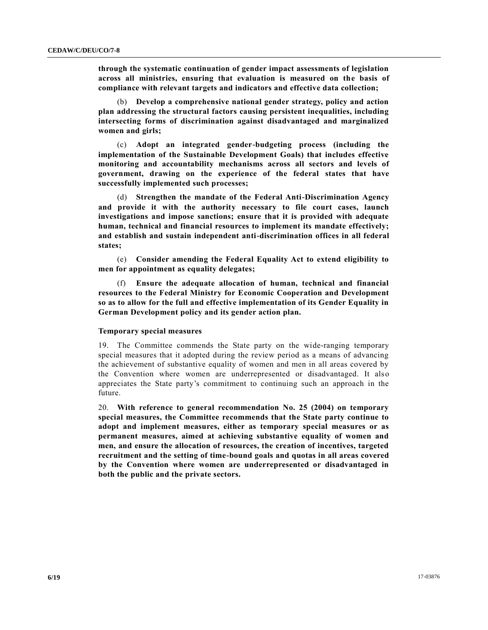**through the systematic continuation of gender impact assessments of legislation across all ministries, ensuring that evaluation is measured on the basis of compliance with relevant targets and indicators and effective data collection;** 

(b) **Develop a comprehensive national gender strategy, policy and action plan addressing the structural factors causing persistent inequalities, including intersecting forms of discrimination against disadvantaged and marginalized women and girls;**

(c) **Adopt an integrated gender-budgeting process (including the implementation of the Sustainable Development Goals) that includes effective monitoring and accountability mechanisms across all sectors and levels of government, drawing on the experience of the federal states that have successfully implemented such processes;**

(d) **Strengthen the mandate of the Federal Anti-Discrimination Agency and provide it with the authority necessary to file court cases, launch investigations and impose sanctions; ensure that it is provided with adequate human, technical and financial resources to implement its mandate effectively; and establish and sustain independent anti-discrimination offices in all federal states;** 

(e) **Consider amending the Federal Equality Act to extend eligibility to men for appointment as equality delegates;**

(f) **Ensure the adequate allocation of human, technical and financial resources to the Federal Ministry for Economic Cooperation and Development so as to allow for the full and effective implementation of its Gender Equality in German Development policy and its gender action plan.**

# **Temporary special measures**

19. The Committee commends the State party on the wide-ranging temporary special measures that it adopted during the review period as a means of advancing the achievement of substantive equality of women and men in all areas covered by the Convention where women are underrepresented or disadvantaged. It also appreciates the State party's commitment to continuing such an approach in the future.

20. **With reference to general recommendation No. 25 (2004) on temporary special measures, the Committee recommends that the State party continue to adopt and implement measures, either as temporary special measures or as permanent measures, aimed at achieving substantive equality of women and men, and ensure the allocation of resources, the creation of incentives, targeted recruitment and the setting of time-bound goals and quotas in all areas covered by the Convention where women are underrepresented or disadvantaged in both the public and the private sectors.**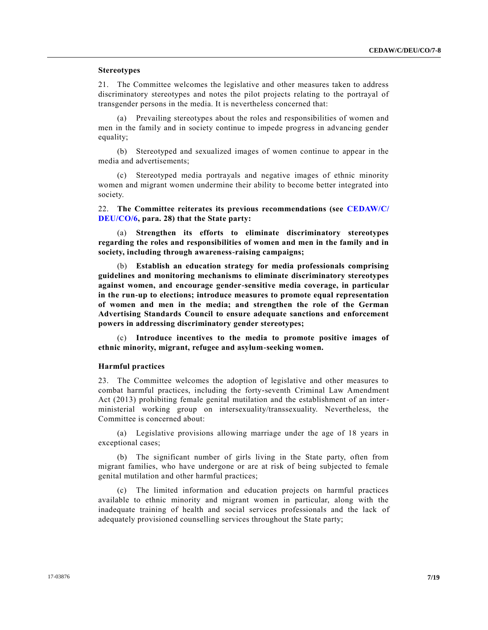# **Stereotypes**

21. The Committee welcomes the legislative and other measures taken to address discriminatory stereotypes and notes the pilot projects relating to the portrayal of transgender persons in the media. It is nevertheless concerned that:

(a) Prevailing stereotypes about the roles and responsibilities of women and men in the family and in society continue to impede progress in advancing gender equality;

(b) Stereotyped and sexualized images of women continue to appear in the media and advertisements;

(c) Stereotyped media portrayals and negative images of ethnic minority women and migrant women undermine their ability to become better integrated into society.

22. **The Committee reiterates its previous recommendations (see [CEDAW/C/](http://undocs.org/CEDAW/C/DEU/CO/6) [DEU/CO/6,](http://undocs.org/CEDAW/C/DEU/CO/6) para. 28) that the State party:**

**Strengthen its efforts to eliminate discriminatory stereotypes regarding the roles and responsibilities of women and men in the family and in society, including through awareness-raising campaigns;**

(b) **Establish an education strategy for media professionals comprising guidelines and monitoring mechanisms to eliminate discriminatory stereotypes against women, and encourage gender-sensitive media coverage, in particular in the run-up to elections; introduce measures to promote equal representation of women and men in the media; and strengthen the role of the German Advertising Standards Council to ensure adequate sanctions and enforcement powers in addressing discriminatory gender stereotypes;**

(c) **Introduce incentives to the media to promote positive images of ethnic minority, migrant, refugee and asylum-seeking women.** 

#### **Harmful practices**

23. The Committee welcomes the adoption of legislative and other measures to combat harmful practices, including the forty-seventh Criminal Law Amendment Act (2013) prohibiting female genital mutilation and the establishment of an interministerial working group on intersexuality/transsexuality. Nevertheless, the Committee is concerned about:

(a) Legislative provisions allowing marriage under the age of 18 years in exceptional cases;

(b) The significant number of girls living in the State party, often from migrant families, who have undergone or are at risk of being subjected to female genital mutilation and other harmful practices;

(c) The limited information and education projects on harmful practices available to ethnic minority and migrant women in particular, along with the inadequate training of health and social services professionals and the lack of adequately provisioned counselling services throughout the State party;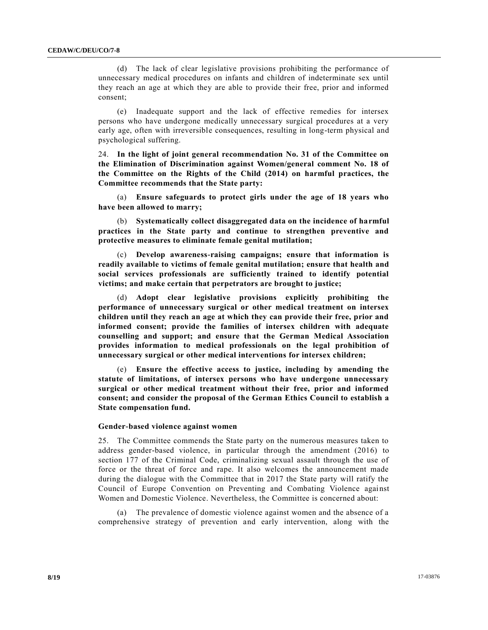(d) The lack of clear legislative provisions prohibiting the performance of unnecessary medical procedures on infants and children of indeterminate sex until they reach an age at which they are able to provide their free, prior and informed consent;

(e) Inadequate support and the lack of effective remedies for intersex persons who have undergone medically unnecessary surgical procedures at a very early age, often with irreversible consequences, resulting in long-term physical and psychological suffering.

24. **In the light of joint general recommendation No. 31 of the Committee on the Elimination of Discrimination against Women/general comment No. 18 of the Committee on the Rights of the Child (2014) on harmful practices, the Committee recommends that the State party:**

(a) **Ensure safeguards to protect girls under the age of 18 years who have been allowed to marry;** 

(b) **Systematically collect disaggregated data on the incidence of harmful practices in the State party and continue to strengthen preventive and protective measures to eliminate female genital mutilation;**

(c) **Develop awareness-raising campaigns; ensure that information is readily available to victims of female genital mutilation; ensure that health and social services professionals are sufficiently trained to identify potential victims; and make certain that perpetrators are brought to justice;**

(d) **Adopt clear legislative provisions explicitly prohibiting the performance of unnecessary surgical or other medical treatment on intersex children until they reach an age at which they can provide their free, prior and informed consent; provide the families of intersex children with adequate counselling and support; and ensure that the German Medical Association provides information to medical professionals on the legal prohibition of unnecessary surgical or other medical interventions for intersex children;**

(e) **Ensure the effective access to justice, including by amending the statute of limitations, of intersex persons who have undergone unnecessary surgical or other medical treatment without their free, prior and informed consent; and consider the proposal of the German Ethics Council to establish a State compensation fund.** 

#### **Gender-based violence against women**

25. The Committee commends the State party on the numerous measures taken to address gender-based violence, in particular through the amendment (2016) to section 177 of the Criminal Code, criminalizing sexual assault through the use of force or the threat of force and rape. It also welcomes the announcement made during the dialogue with the Committee that in 2017 the State party will ratify the Council of Europe Convention on Preventing and Combating Violence against Women and Domestic Violence. Nevertheless, the Committee is concerned about:

(a) The prevalence of domestic violence against women and the absence of a comprehensive strategy of prevention and early intervention, along with the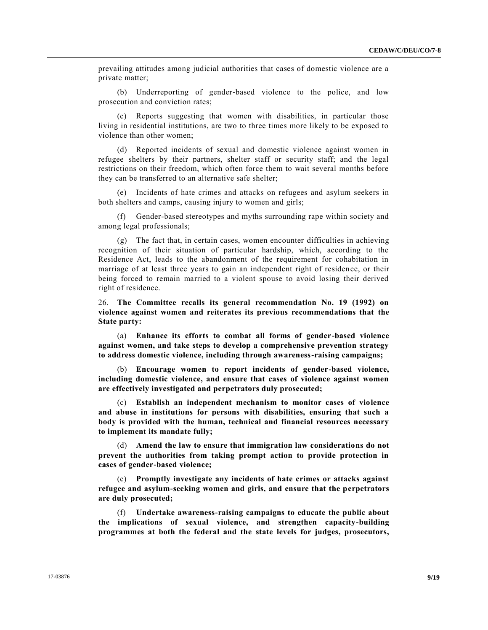prevailing attitudes among judicial authorities that cases of domestic violence are a private matter;

(b) Underreporting of gender-based violence to the police, and low prosecution and conviction rates;

(c) Reports suggesting that women with disabilities, in particular those living in residential institutions, are two to three times more likely to be exposed to violence than other women;

(d) Reported incidents of sexual and domestic violence against women in refugee shelters by their partners, shelter staff or security staff; and the legal restrictions on their freedom, which often force them to wait several months before they can be transferred to an alternative safe shelter;

(e) Incidents of hate crimes and attacks on refugees and asylum seekers in both shelters and camps, causing injury to women and girls;

(f) Gender-based stereotypes and myths surrounding rape within society and among legal professionals;

(g) The fact that, in certain cases, women encounter difficulties in achieving recognition of their situation of particular hardship, which, according to the Residence Act, leads to the abandonment of the requirement for cohabitation in marriage of at least three years to gain an independent right of residence, or their being forced to remain married to a violent spouse to avoid losing their derived right of residence.

26. **The Committee recalls its general recommendation No. 19 (1992) on violence against women and reiterates its previous recommendations that the State party:**

(a) **Enhance its efforts to combat all forms of gender-based violence against women, and take steps to develop a comprehensive prevention strategy to address domestic violence, including through awareness-raising campaigns;**

(b) **Encourage women to report incidents of gender-based violence, including domestic violence, and ensure that cases of violence against women are effectively investigated and perpetrators duly prosecuted;** 

(c) **Establish an independent mechanism to monitor cases of violence and abuse in institutions for persons with disabilities, ensuring that such a body is provided with the human, technical and financial resources necessary to implement its mandate fully;** 

(d) **Amend the law to ensure that immigration law considerations do not prevent the authorities from taking prompt action to provide protection in cases of gender-based violence;**

(e) **Promptly investigate any incidents of hate crimes or attacks against refugee and asylum-seeking women and girls, and ensure that the perpetrators are duly prosecuted;** 

(f) **Undertake awareness-raising campaigns to educate the public about the implications of sexual violence, and strengthen capacity-building programmes at both the federal and the state levels for judges, prosecutors,**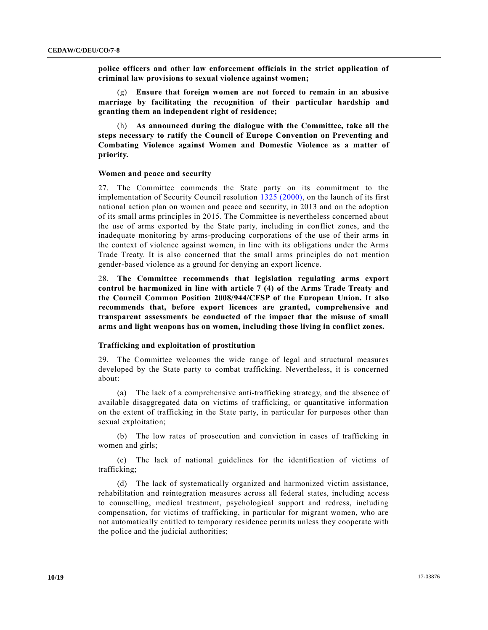**police officers and other law enforcement officials in the strict application of criminal law provisions to sexual violence against women;** 

(g) **Ensure that foreign women are not forced to remain in an abusive marriage by facilitating the recognition of their particular hardship and granting them an independent right of residence;**

(h) **As announced during the dialogue with the Committee, take all the steps necessary to ratify the Council of Europe Convention on Preventing and Combating Violence against Women and Domestic Violence as a matter of priority.**

#### **Women and peace and security**

27. The Committee commends the State party on its commitment to the implementation of Security Council resolution [1325 \(2000\),](http://undocs.org/S/RES/1325(2000)) on the launch of its first national action plan on women and peace and security, in 2013 and on the adoption of its small arms principles in 2015. The Committee is nevertheless concerned about the use of arms exported by the State party, including in conflict zones, and the inadequate monitoring by arms-producing corporations of the use of their arms in the context of violence against women, in line with its obligations under the Arms Trade Treaty. It is also concerned that the small arms principles do not mention gender-based violence as a ground for denying an export licence.

28. **The Committee recommends that legislation regulating arms export control be harmonized in line with article 7 (4) of the Arms Trade Treaty and the Council Common Position 2008/944/CFSP of the European Union. It also recommends that, before export licences are granted, comprehensive and transparent assessments be conducted of the impact that the misuse of small arms and light weapons has on women, including those living in conflict zones.** 

# **Trafficking and exploitation of prostitution**

29. The Committee welcomes the wide range of legal and structural measures developed by the State party to combat trafficking. Nevertheless, it is concerned about:

(a) The lack of a comprehensive anti-trafficking strategy, and the absence of available disaggregated data on victims of trafficking, or quantitative information on the extent of trafficking in the State party, in particular for purposes other than sexual exploitation;

(b) The low rates of prosecution and conviction in cases of trafficking in women and girls;

(c) The lack of national guidelines for the identification of victims of trafficking;

(d) The lack of systematically organized and harmonized victim assistance, rehabilitation and reintegration measures across all federal states, including access to counselling, medical treatment, psychological support and redress, including compensation, for victims of trafficking, in particular for migrant women, who are not automatically entitled to temporary residence permits unless they cooperate with the police and the judicial authorities;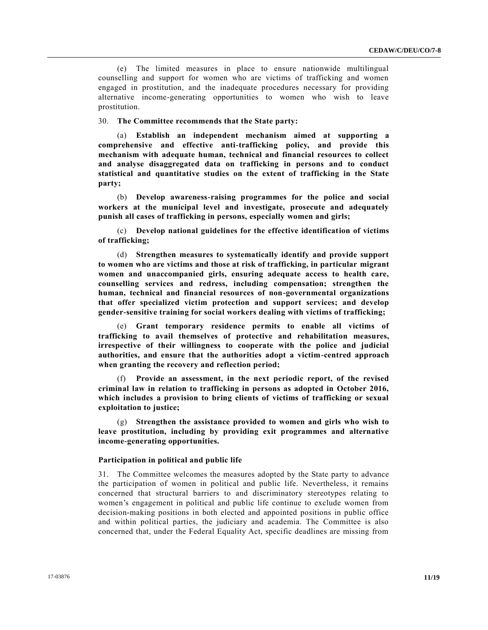(e) The limited measures in place to ensure nationwide multilingual counselling and support for women who are victims of trafficking and women engaged in prostitution, and the inadequate procedures necessary for providing alternative income-generating opportunities to women who wish to leave prostitution.

30. **The Committee recommends that the State party:**

(a) **Establish an independent mechanism aimed at supporting a comprehensive and effective anti-trafficking policy, and provide this mechanism with adequate human, technical and financial resources to collect and analyse disaggregated data on trafficking in persons and to conduct statistical and quantitative studies on the extent of trafficking in the State party;**

(b) **Develop awareness-raising programmes for the police and social workers at the municipal level and investigate, prosecute and adequately punish all cases of trafficking in persons, especially women and girls;**

(c) **Develop national guidelines for the effective identification of victims of trafficking;** 

(d) **Strengthen measures to systematically identify and provide support to women who are victims and those at risk of trafficking, in particular migrant women and unaccompanied girls, ensuring adequate access to health care, counselling services and redress, including compensation; strengthen the human, technical and financial resources of non-governmental organizations that offer specialized victim protection and support services; and develop gender-sensitive training for social workers dealing with victims of trafficking;**

(e) **Grant temporary residence permits to enable all victims of trafficking to avail themselves of protective and rehabilitation measures, irrespective of their willingness to cooperate with the police and judicial authorities, and ensure that the authorities adopt a victim-centred approach when granting the recovery and reflection period;**

(f) **Provide an assessment, in the next periodic report, of the revised criminal law in relation to trafficking in persons as adopted in October 2016, which includes a provision to bring clients of victims of trafficking or sexual exploitation to justice;**

(g) **Strengthen the assistance provided to women and girls who wish to leave prostitution, including by providing exit programmes and alternative income-generating opportunities.**

# **Participation in political and public life**

31. The Committee welcomes the measures adopted by the State party to advance the participation of women in political and public life. Nevertheless, it remains concerned that structural barriers to and discriminatory stereotypes relating to women's engagement in political and public life continue to exclude women from decision-making positions in both elected and appointed positions in public office and within political parties, the judiciary and academia. The Committee is also concerned that, under the Federal Equality Act, specific deadlines are missing from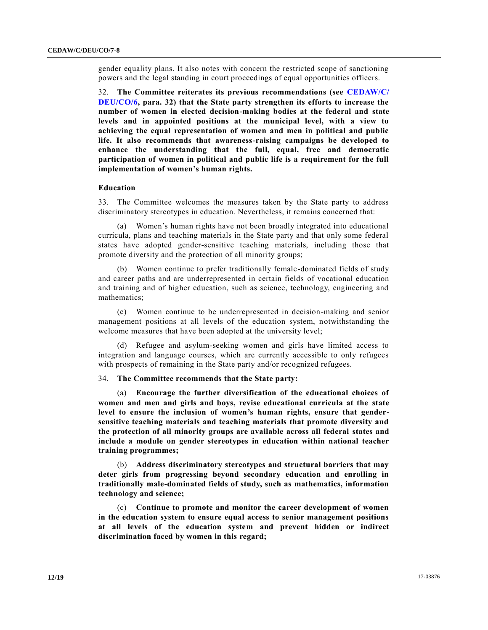gender equality plans. It also notes with concern the restricted scope of sanctioning powers and the legal standing in court proceedings of equal opportunities officers.

32. **The Committee reiterates its previous recommendations (see [CEDAW/C/](http://undocs.org/CEDAW/C/DEU/CO/6) [DEU/CO/6,](http://undocs.org/CEDAW/C/DEU/CO/6) para. 32) that the State party strengthen its efforts to increase the number of women in elected decision-making bodies at the federal and state levels and in appointed positions at the municipal level, with a view to achieving the equal representation of women and men in political and public life. It also recommends that awareness-raising campaigns be developed to enhance the understanding that the full, equal, free and democratic participation of women in political and public life is a requirement for the full implementation of women's human rights.** 

# **Education**

33. The Committee welcomes the measures taken by the State party to address discriminatory stereotypes in education. Nevertheless, it remains concerned that:

(a) Women's human rights have not been broadly integrated into educational curricula, plans and teaching materials in the State party and that only some federal states have adopted gender-sensitive teaching materials, including those that promote diversity and the protection of all minority groups;

(b) Women continue to prefer traditionally female-dominated fields of study and career paths and are underrepresented in certain fields of vocational education and training and of higher education, such as science, technology, engineering and mathematics;

(c) Women continue to be underrepresented in decision-making and senior management positions at all levels of the education system, notwithstanding the welcome measures that have been adopted at the university level;

(d) Refugee and asylum-seeking women and girls have limited access to integration and language courses, which are currently accessible to only refugees with prospects of remaining in the State party and/or recognized refugees.

# 34. **The Committee recommends that the State party:**

(a) **Encourage the further diversification of the educational choices of women and men and girls and boys, revise educational curricula at the state level to ensure the inclusion of women's human rights, ensure that gendersensitive teaching materials and teaching materials that promote diversity and the protection of all minority groups are available across all federal states and include a module on gender stereotypes in education within national teacher training programmes;**

(b) **Address discriminatory stereotypes and structural barriers that may deter girls from progressing beyond secondary education and enrolling in traditionally male-dominated fields of study, such as mathematics, information technology and science;**

(c) **Continue to promote and monitor the career development of women in the education system to ensure equal access to senior management positions at all levels of the education system and prevent hidden or indirect discrimination faced by women in this regard;**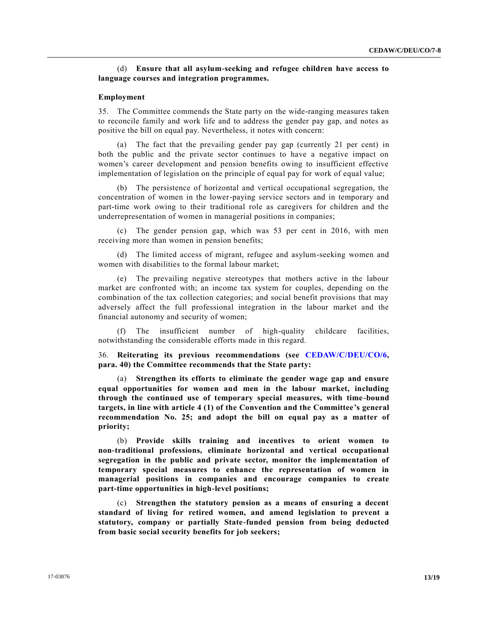# (d) **Ensure that all asylum-seeking and refugee children have access to language courses and integration programmes.**

### **Employment**

35. The Committee commends the State party on the wide-ranging measures taken to reconcile family and work life and to address the gender pay gap, and notes as positive the bill on equal pay. Nevertheless, it notes with concern:

(a) The fact that the prevailing gender pay gap (currently 21 per cent) in both the public and the private sector continues to have a negative impact on women's career development and pension benefits owing to insufficient effective implementation of legislation on the principle of equal pay for work of equal value;

(b) The persistence of horizontal and vertical occupational segregation, the concentration of women in the lower-paying service sectors and in temporary and part-time work owing to their traditional role as caregivers for children and the underrepresentation of women in managerial positions in companies;

(c) The gender pension gap, which was 53 per cent in 2016, with men receiving more than women in pension benefits;

(d) The limited access of migrant, refugee and asylum-seeking women and women with disabilities to the formal labour market;

(e) The prevailing negative stereotypes that mothers active in the labour market are confronted with; an income tax system for couples, depending on the combination of the tax collection categories; and social benefit provisions that may adversely affect the full professional integration in the labour market and the financial autonomy and security of women;

(f) The insufficient number of high-quality childcare facilities, notwithstanding the considerable efforts made in this regard.

36. **Reiterating its previous recommendations (see [CEDAW/C/DEU/CO/6,](http://undocs.org/CEDAW/C/DEU/CO/6) para. 40) the Committee recommends that the State party:** 

(a) **Strengthen its efforts to eliminate the gender wage gap and ensure equal opportunities for women and men in the labour market, including through the continued use of temporary special measures, with time-bound targets, in line with article 4 (1) of the Convention and the Committee's general recommendation No. 25; and adopt the bill on equal pay as a matter of priority;** 

(b) **Provide skills training and incentives to orient women to non-traditional professions, eliminate horizontal and vertical occupational segregation in the public and private sector, monitor the implementation of temporary special measures to enhance the representation of women in managerial positions in companies and encourage companies to create part-time opportunities in high-level positions;**

(c) **Strengthen the statutory pension as a means of ensuring a decent standard of living for retired women, and amend legislation to prevent a statutory, company or partially State-funded pension from being deducted from basic social security benefits for job seekers;**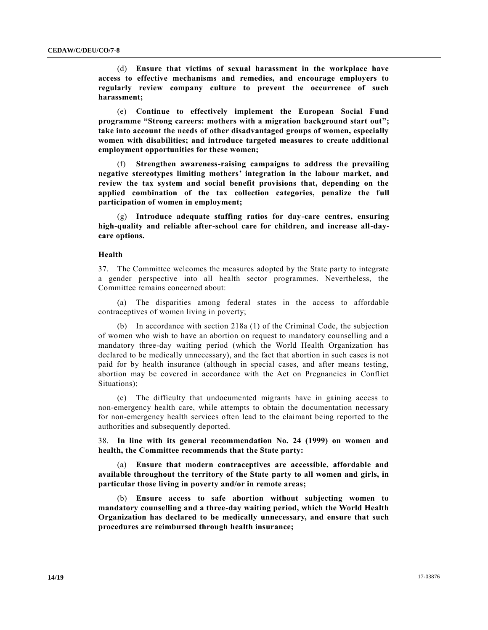(d) **Ensure that victims of sexual harassment in the workplace have access to effective mechanisms and remedies, and encourage employers to regularly review company culture to prevent the occurrence of such harassment;** 

(e) **Continue to effectively implement the European Social Fund programme "Strong careers: mothers with a migration background start out"; take into account the needs of other disadvantaged groups of women, especially women with disabilities; and introduce targeted measures to create additional employment opportunities for these women;**

(f) **Strengthen awareness-raising campaigns to address the prevailing negative stereotypes limiting mothers' integration in the labour market, and review the tax system and social benefit provisions that, depending on the applied combination of the tax collection categories, penalize the full participation of women in employment;**

(g) **Introduce adequate staffing ratios for day-care centres, ensuring high-quality and reliable after-school care for children, and increase all-daycare options.**

#### **Health**

37. The Committee welcomes the measures adopted by the State party to integrate a gender perspective into all health sector programmes. Nevertheless, the Committee remains concerned about:

(a) The disparities among federal states in the access to affordable contraceptives of women living in poverty;

(b) In accordance with section 218a (1) of the Criminal Code, the subjection of women who wish to have an abortion on request to mandatory counselling and a mandatory three-day waiting period (which the World Health Organization has declared to be medically unnecessary), and the fact that abortion in such cases is not paid for by health insurance (although in special cases, and after means testing, abortion may be covered in accordance with the Act on Pregnancies in Conflict Situations);

(c) The difficulty that undocumented migrants have in gaining access to non-emergency health care, while attempts to obtain the documentation necessary for non-emergency health services often lead to the claimant being reported to the authorities and subsequently deported.

38. **In line with its general recommendation No. 24 (1999) on women and health, the Committee recommends that the State party:**

(a) **Ensure that modern contraceptives are accessible, affordable and available throughout the territory of the State party to all women and girls, in particular those living in poverty and/or in remote areas;**

(b) **Ensure access to safe abortion without subjecting women to mandatory counselling and a three-day waiting period, which the World Health Organization has declared to be medically unnecessary, and ensure that such procedures are reimbursed through health insurance;**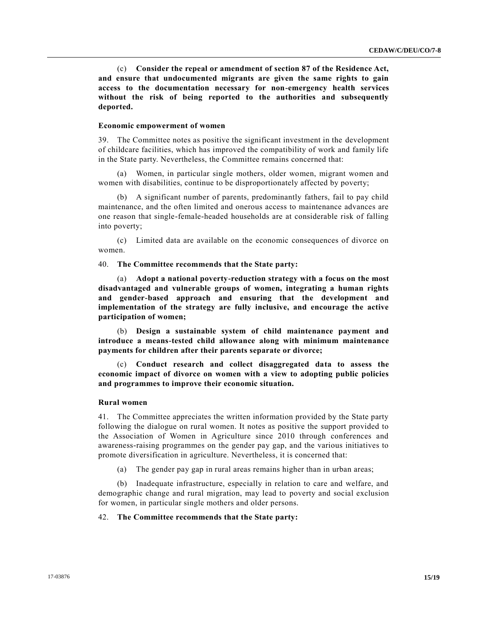(c) **Consider the repeal or amendment of section 87 of the Residence Act, and ensure that undocumented migrants are given the same rights to gain access to the documentation necessary for non-emergency health services without the risk of being reported to the authorities and subsequently deported.**

### **Economic empowerment of women**

39. The Committee notes as positive the significant investment in the development of childcare facilities, which has improved the compatibility of work and family life in the State party. Nevertheless, the Committee remains concerned that:

(a) Women, in particular single mothers, older women, migrant women and women with disabilities, continue to be disproportionately affected by poverty;

(b) A significant number of parents, predominantly fathers, fail to pay child maintenance, and the often limited and onerous access to maintenance advances are one reason that single-female-headed households are at considerable risk of falling into poverty;

(c) Limited data are available on the economic consequences of divorce on women.

40. **The Committee recommends that the State party:**

(a) **Adopt a national poverty-reduction strategy with a focus on the most disadvantaged and vulnerable groups of women, integrating a human rights and gender-based approach and ensuring that the development and implementation of the strategy are fully inclusive, and encourage the active participation of women;**

(b) **Design a sustainable system of child maintenance payment and introduce a means-tested child allowance along with minimum maintenance payments for children after their parents separate or divorce;** 

(c) **Conduct research and collect disaggregated data to assess the economic impact of divorce on women with a view to adopting public policies and programmes to improve their economic situation.**

### **Rural women**

41. The Committee appreciates the written information provided by the State party following the dialogue on rural women. It notes as positive the support provided to the Association of Women in Agriculture since 2010 through conferences and awareness-raising programmes on the gender pay gap, and the various initiatives to promote diversification in agriculture. Nevertheless, it is concerned that:

(a) The gender pay gap in rural areas remains higher than in urban areas;

(b) Inadequate infrastructure, especially in relation to care and welfare, and demographic change and rural migration, may lead to poverty and social exclusion for women, in particular single mothers and older persons.

# 42. **The Committee recommends that the State party:**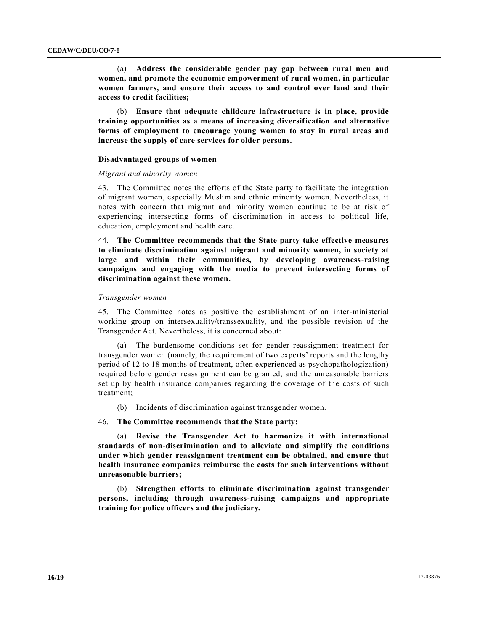(a) **Address the considerable gender pay gap between rural men and women, and promote the economic empowerment of rural women, in particular women farmers, and ensure their access to and control over land and their access to credit facilities;** 

(b) **Ensure that adequate childcare infrastructure is in place, provide training opportunities as a means of increasing diversification and alternative forms of employment to encourage young women to stay in rural areas and increase the supply of care services for older persons.**

# **Disadvantaged groups of women**

#### *Migrant and minority women*

43. The Committee notes the efforts of the State party to facilitate the integration of migrant women, especially Muslim and ethnic minority women. Nevertheless, it notes with concern that migrant and minority women continue to be at risk of experiencing intersecting forms of discrimination in access to political life, education, employment and health care.

44. **The Committee recommends that the State party take effective measures to eliminate discrimination against migrant and minority women, in society at large and within their communities, by developing awareness-raising campaigns and engaging with the media to prevent intersecting forms of discrimination against these women.**

# *Transgender women*

45. The Committee notes as positive the establishment of an inter-ministerial working group on intersexuality/transsexuality, and the possible revision of the Transgender Act. Nevertheless, it is concerned about:

(a) The burdensome conditions set for gender reassignment treatment for transgender women (namely, the requirement of two experts' reports and the lengthy period of 12 to 18 months of treatment, often experienced as psychopathologization) required before gender reassignment can be granted, and the unreasonable barriers set up by health insurance companies regarding the coverage of the costs of such treatment;

(b) Incidents of discrimination against transgender women.

# 46. **The Committee recommends that the State party:**

(a) **Revise the Transgender Act to harmonize it with international standards of non-discrimination and to alleviate and simplify the conditions under which gender reassignment treatment can be obtained, and ensure that health insurance companies reimburse the costs for such interventions without unreasonable barriers;**

(b) **Strengthen efforts to eliminate discrimination against transgender persons, including through awareness-raising campaigns and appropriate training for police officers and the judiciary.**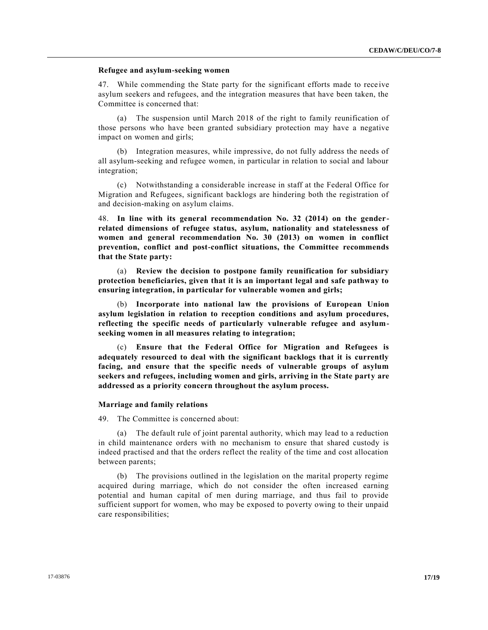# **Refugee and asylum-seeking women**

47. While commending the State party for the significant efforts made to rece ive asylum seekers and refugees, and the integration measures that have been taken, the Committee is concerned that:

(a) The suspension until March 2018 of the right to family reunification of those persons who have been granted subsidiary protection may have a negative impact on women and girls;

(b) Integration measures, while impressive, do not fully address the needs of all asylum-seeking and refugee women, in particular in relation to social and labour integration;

(c) Notwithstanding a considerable increase in staff at the Federal Office for Migration and Refugees, significant backlogs are hindering both the registration of and decision-making on asylum claims.

48. **In line with its general recommendation No. 32 (2014) on the genderrelated dimensions of refugee status, asylum, nationality and statelessness of women and general recommendation No. 30 (2013) on women in conflict prevention, conflict and post-conflict situations, the Committee recommends that the State party:**

(a) **Review the decision to postpone family reunification for subsidiary protection beneficiaries, given that it is an important legal and safe pathway to ensuring integration, in particular for vulnerable women and girls;**

(b) **Incorporate into national law the provisions of European Union asylum legislation in relation to reception conditions and asylum procedures, reflecting the specific needs of particularly vulnerable refugee and asylumseeking women in all measures relating to integration;** 

(c) **Ensure that the Federal Office for Migration and Refugees is adequately resourced to deal with the significant backlogs that it is currently facing, and ensure that the specific needs of vulnerable groups of asylum seekers and refugees, including women and girls, arriving in the State party are addressed as a priority concern throughout the asylum process.**

# **Marriage and family relations**

49. The Committee is concerned about:

(a) The default rule of joint parental authority, which may lead to a reduction in child maintenance orders with no mechanism to ensure that shared custody is indeed practised and that the orders reflect the reality of the time and cost allocation between parents;

(b) The provisions outlined in the legislation on the marital property regime acquired during marriage, which do not consider the often increased earning potential and human capital of men during marriage, and thus fail to provide sufficient support for women, who may be exposed to poverty owing to their unpaid care responsibilities;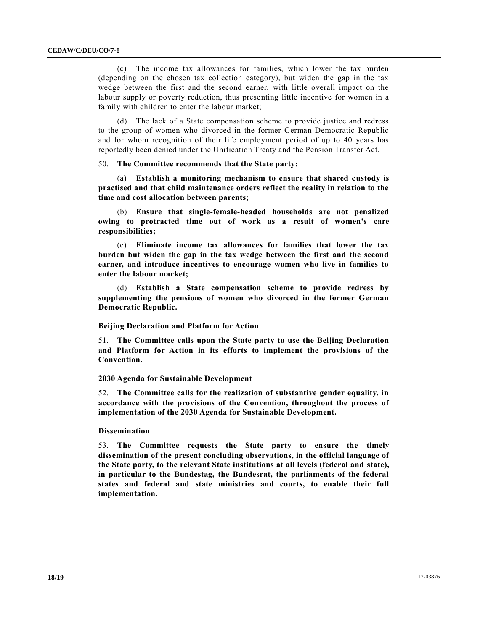(c) The income tax allowances for families, which lower the tax burden (depending on the chosen tax collection category), but widen the gap in the tax wedge between the first and the second earner, with little overall impact on the labour supply or poverty reduction, thus presenting little incentive for women in a family with children to enter the labour market;

(d) The lack of a State compensation scheme to provide justice and redress to the group of women who divorced in the former German Democratic Republic and for whom recognition of their life employment period of up to 40 years has reportedly been denied under the Unification Treaty and the Pension Transfer Act.

50. **The Committee recommends that the State party:**

(a) **Establish a monitoring mechanism to ensure that shared custody is practised and that child maintenance orders reflect the reality in relation to the time and cost allocation between parents;**

(b) **Ensure that single-female-headed households are not penalized owing to protracted time out of work as a result of women's care responsibilities;** 

(c) **Eliminate income tax allowances for families that lower the tax burden but widen the gap in the tax wedge between the first and the second earner, and introduce incentives to encourage women who live in families to enter the labour market;**

(d) **Establish a State compensation scheme to provide redress by supplementing the pensions of women who divorced in the former German Democratic Republic.**

#### **Beijing Declaration and Platform for Action**

51. **The Committee calls upon the State party to use the Beijing Declaration and Platform for Action in its efforts to implement the provisions of the Convention.**

#### **2030 Agenda for Sustainable Development**

52. **The Committee calls for the realization of substantive gender equality, in accordance with the provisions of the Convention, throughout the process of implementation of the 2030 Agenda for Sustainable Development.**

### **Dissemination**

53. **The Committee requests the State party to ensure the timely dissemination of the present concluding observations, in the official language of the State party, to the relevant State institutions at all levels (federal and state), in particular to the Bundestag, the Bundesrat, the parliaments of the federal states and federal and state ministries and courts, to enable their full implementation.**